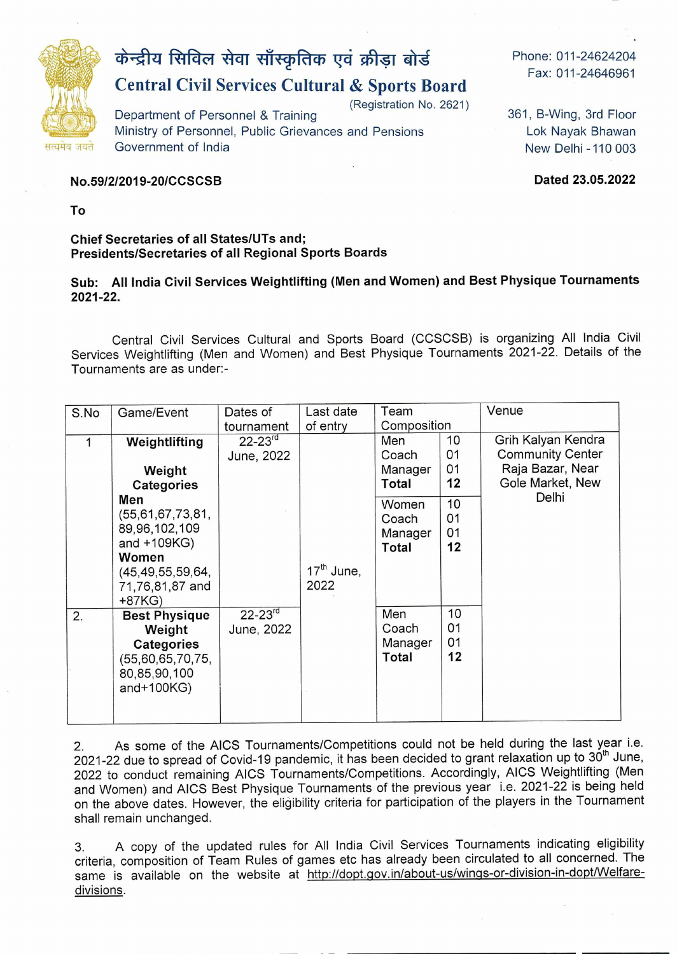

# **केन्द्रीय सिविल सेवा साँस्कृतिक एवं क्रीड़ा बोर्ड**

## **Central Civil Services Cultural & Sports Board**

(Registration No. 2621)

Department of Personnel & Training Ministry of Personnel, Public Grievances and Pensions Government of India

Phone: 011-24624204 Fax: 011-24646961

361, B-Wing, 3rd Floor Lok Nayak Bhawan New Delhi -110 003

**No.591212019-20/CCSCSB Dated 23.05.2022** 

**To** 

#### **Chief Secretaries of all States/UTs and; Presidents/Secretaries of all Regional Sports Boards**

#### **Sub: All India Civil Services Weightlifting (Men and Women) and Best Physique Tournaments 2021-22.**

Central Civil Services Cultural and Sports Board (CCSCSB) is organizing All India Civil Services Weightlifting (Men and Women) and Best Physique Tournaments 2021-22. Details of the Tournaments are as under:-

| S.No | Game/Event           | Dates of       | Last date    | Team         |    | Venue                   |
|------|----------------------|----------------|--------------|--------------|----|-------------------------|
|      |                      | tournament     | of entry     | Composition  |    |                         |
|      | Weightlifting        | $22 - 23^{rd}$ |              | Men          | 10 | Grih Kalyan Kendra      |
|      |                      | June, 2022     |              | Coach        | 01 | <b>Community Center</b> |
|      | Weight               |                |              | Manager      | 01 | Raja Bazar, Near        |
|      | Categories           |                |              | Total        | 12 | Gole Market, New        |
|      | Men                  |                |              | Women        | 10 | Delhi                   |
|      | (55, 61, 67, 73, 81, |                |              | Coach        | 01 |                         |
|      | 89,96,102,109        |                |              | Manager      | 01 |                         |
|      | and $+109KG$ )       |                |              | Total        | 12 |                         |
|      | Women                |                |              |              |    |                         |
|      | (45, 49, 55, 59, 64, |                | $17th$ June, |              |    |                         |
|      | 71,76,81,87 and      |                | 2022         |              |    |                         |
|      | $+87KG$              |                |              |              |    |                         |
| 2.   | <b>Best Physique</b> | $22 - 23^{rd}$ |              | Men          | 10 |                         |
|      | Weight               | June, 2022     |              | Coach        | 01 |                         |
|      | <b>Categories</b>    |                |              | Manager      | 01 |                         |
|      | (55,60,65,70,75,     |                |              | <b>Total</b> | 12 |                         |
|      | 80,85,90,100         |                |              |              |    |                         |
|      | and $+100KG$         |                |              |              |    |                         |
|      |                      |                |              |              |    |                         |
|      |                      |                |              |              |    |                         |

2. As some of the AICS Tournaments/Competitions could not be held during the last year i.e. 2021-22 due to spread of Covid-19 pandemic, it has been decided to grant relaxation up to 30<sup>th</sup> June, 2022 to conduct remaining AICS Tournaments/Competitions. Accordingly, AICS Weightlifting (Men and Women) and AICS Best Physique Tournaments of the previous year i.e. 2021-22 is being held on the above dates. However, the eligibility criteria for participation of the players in the Tournament shall remain unchanged.

3. A copy of the updated rules for All India Civil Services Tournaments indicating eligibility criteria, composition of Team Rules of games etc has already been circulated to all concerned. The same is available on the website at http://dopt.gov.in/about-us/wings-or-division-in-dopt/Welfaredivisions.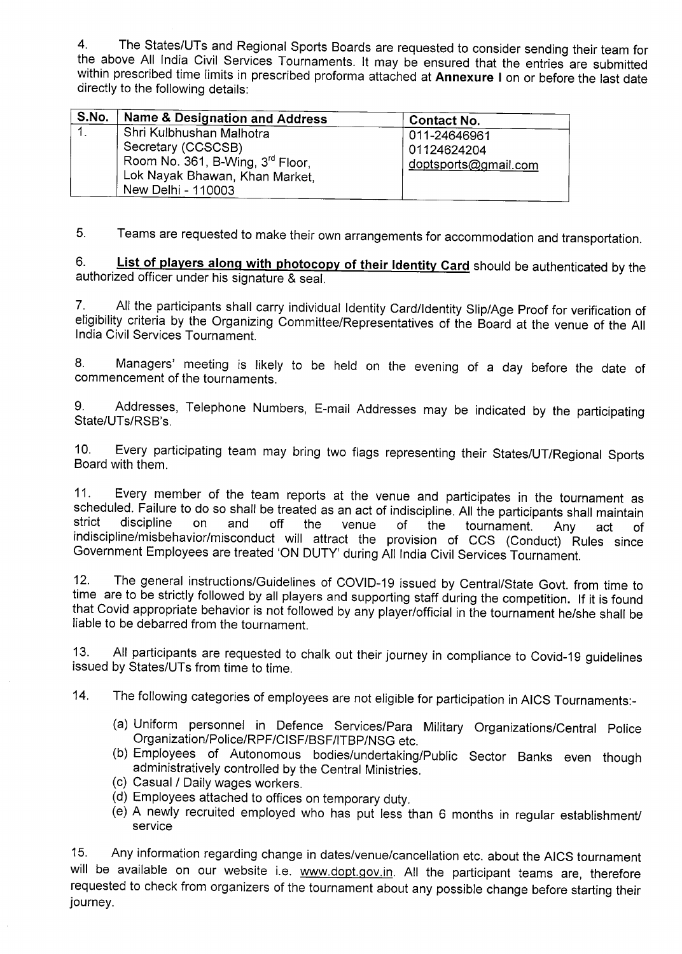4. The States/UTs and Regional Sports Boards are requested to consider sending their team for the above All India Civil Services Tournaments, It may be ensured that the entries are submitted within prescribed time limits in prescribed proforma attached at **Annexure** I on or before the last date directly to the following details:

| S.No. | Name & Designation and Address                                                                                                                         | <b>Contact No.</b>                                  |
|-------|--------------------------------------------------------------------------------------------------------------------------------------------------------|-----------------------------------------------------|
|       | Shri Kulbhushan Malhotra<br>Secretary (CCSCSB)<br>Room No. 361, B-Wing, 3 <sup>rd</sup> Floor,<br>Lok Nayak Bhawan, Khan Market,<br>New Delhi - 110003 | 011-24646961<br>01124624204<br>doptsports@gmail.com |

5. Teams are requested to make their own arrangements for accommodation and transportation.

**6. List of players alonq with photocopy of their Identity Card** should be authenticated by the authorized officer under his signature & seal.

7. All the participants shall carry individual Identity Card/Identity Slip/Age Proof for verification of eligibility criteria by the Organizing Committee/Representatives of the Board at the venue of the All India Civil Services Tournament.

8. Managers' meeting is likely to be held on the evening of a day before the date of commencement of the tournaments.

9. Addresses, Telephone Numbers, E-mail Addresses may be indicated by the participating State/UTs/RSB's,

10. Every participating team may bring two flags representing their States/UT/Regional Sports Board with them.

11. Every member of the team reports at the venue and participates in the tournament as scheduled. Failure to do so shall be treated as an act of indiscipline. All the participants shall maintain strict discipline on and off the venue of the tournament. Any act of strict discipline on and off the venue of the tournament. Any act of<br>indiscipline/misbehavior/misconduct will attract the provision of CCS (Conduct) Rules since Government Employees are treated 'ON DUTY' during All India Civil Services Tournament.

12. The general instructions/Guidelines of COVID-19 issued by Central/State Govt. from time to time are to be strictly followed by all players and supporting staff during the competition. If it is found that Covid appropriate behavior is not followed by any player/official in the tournament he/she shall be liable to be debarred from the tournament.

13. All participants are requested to chalk out their journey in compliance to Covid-19 guidelines issued by States/UTs from time to time.

14. The following categories of employees are not eligible for participation in AICS Tournaments:-

- (a) Uniform personnel in Defence Services/Para Military Organizations/Central Police Organization/Police/RPF/CISF/BSF/ITBP/NSG etc.
- (b) Employees of Autonomous bodies/undertaking/Public Sector Banks even though administratively controlled by the Central Ministries.
- (c) Casual / Daily wages workers.
- (d) Employees attached to offices on temporary duty.
- (e) A newly recruited employed who has put less than 6 months in regular establishment/ service

15. Any information regarding change in dates/venue/cancellation etc. about the AlCS tournament will be available on our website i.e. www.dopt.gov.in. All the participant teams are, therefore requested to check from organizers of the tournament about any possible change before starting their journey.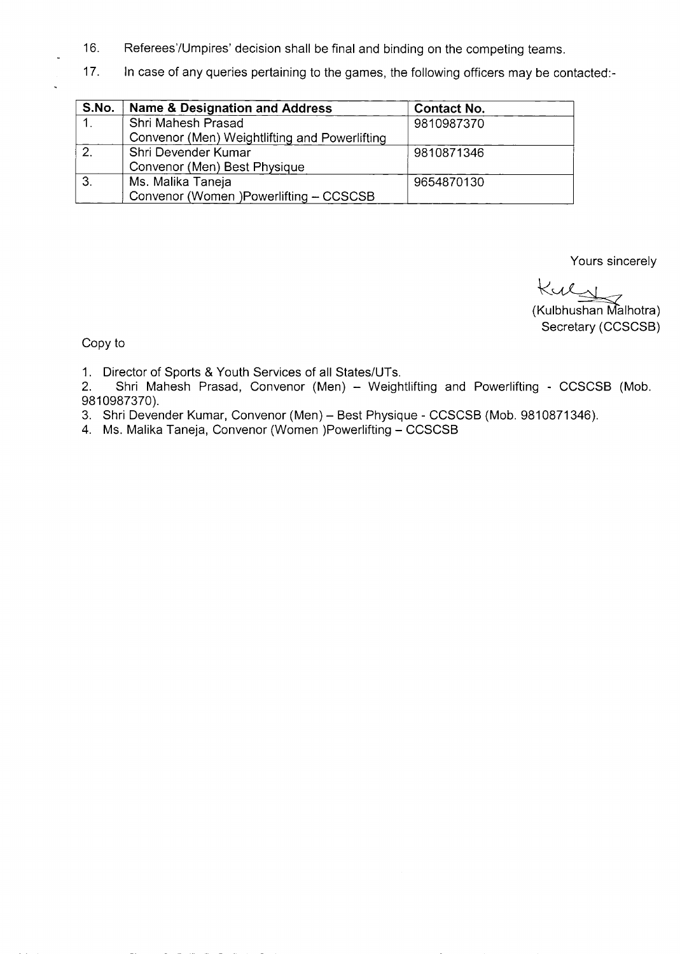- 16. Referees/Umpires' decision shall be final and binding on the competing teams.
- 17. In case of any queries pertaining to the games, the following officers may be contacted:-

| S.No. | Name & Designation and Address                | <b>Contact No.</b> |
|-------|-----------------------------------------------|--------------------|
|       | Shri Mahesh Prasad                            | 9810987370         |
|       | Convenor (Men) Weightlifting and Powerlifting |                    |
| 2.    | Shri Devender Kumar                           | 9810871346         |
|       | Convenor (Men) Best Physique                  |                    |
| 3.    | Ms. Malika Taneja                             | 9654870130         |
|       | Convenor (Women )Powerlifting - CCSCSB        |                    |

Yours sincerely

Kuly

(Kulbhushan Málhotra) Secretary (CCSCSB)

Copy to

1. Director of Sports & Youth Services of all States/UTs.<br>2. Shri Mahesh Prasad, Convenor (Men) - Weigh

Shri Mahesh Prasad, Convenor (Men) - Weightlifting and Powerlifting - CCSCSB (Mob. 9810987370).

- 3. Shri Devender Kumar, Convenor (Men) Best Physique CCSCSB (Mob. 9810871346).
- 4. Ms. Malika Taneja, Convenor (Women )Powerlifting CCSCSB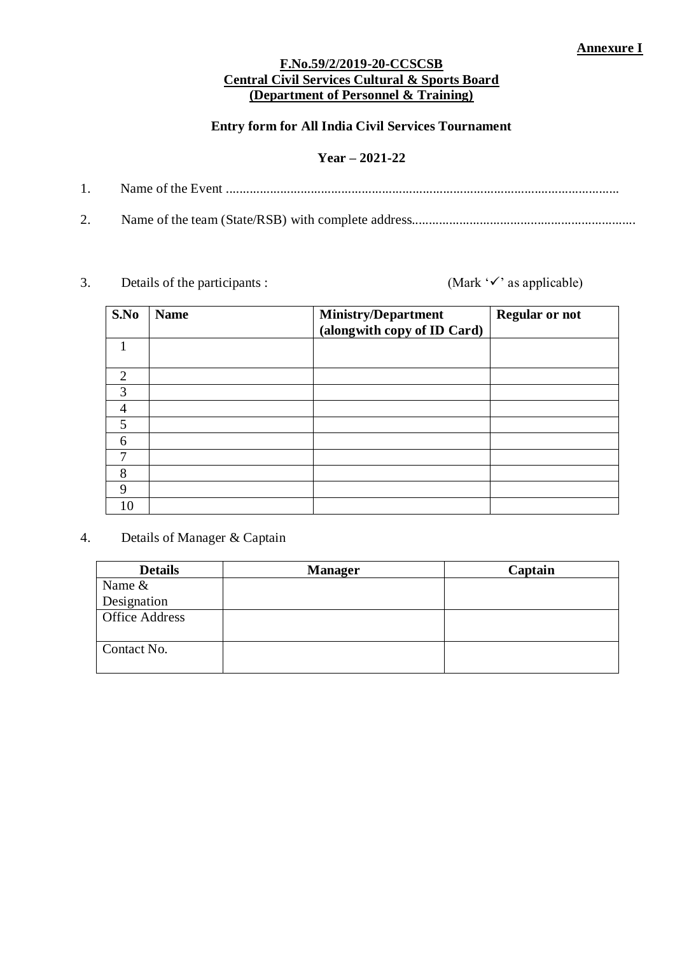#### **F.No.59/2/2019-20-CCSCSB Central Civil Services Cultural & Sports Board (Department of Personnel & Training)**

#### **Entry form for All India Civil Services Tournament**

### **Year – 2021-22**

- 1. Name of the Event ....................................................................................................................
- 2. Name of the team (State/RSB) with complete address..................................................................**Home**

3. Details of the participants :  $(Mark 'v'')$  as applicable)

| S.No           | <b>Name</b> | <b>Ministry/Department</b>  | <b>Regular or not</b> |
|----------------|-------------|-----------------------------|-----------------------|
|                |             | (alongwith copy of ID Card) |                       |
| 1              |             |                             |                       |
|                |             |                             |                       |
| $\overline{2}$ |             |                             |                       |
| 3              |             |                             |                       |
| $\overline{4}$ |             |                             |                       |
| 5              |             |                             |                       |
| 6              |             |                             |                       |
| 7              |             |                             |                       |
| 8              |             |                             |                       |
| 9              |             |                             |                       |
| 10             |             |                             |                       |

4. Details of Manager & Captain

| <b>Details</b>        | <b>Manager</b> | Captain |
|-----------------------|----------------|---------|
| Name &                |                |         |
| Designation           |                |         |
| <b>Office Address</b> |                |         |
| Contact No.           |                |         |